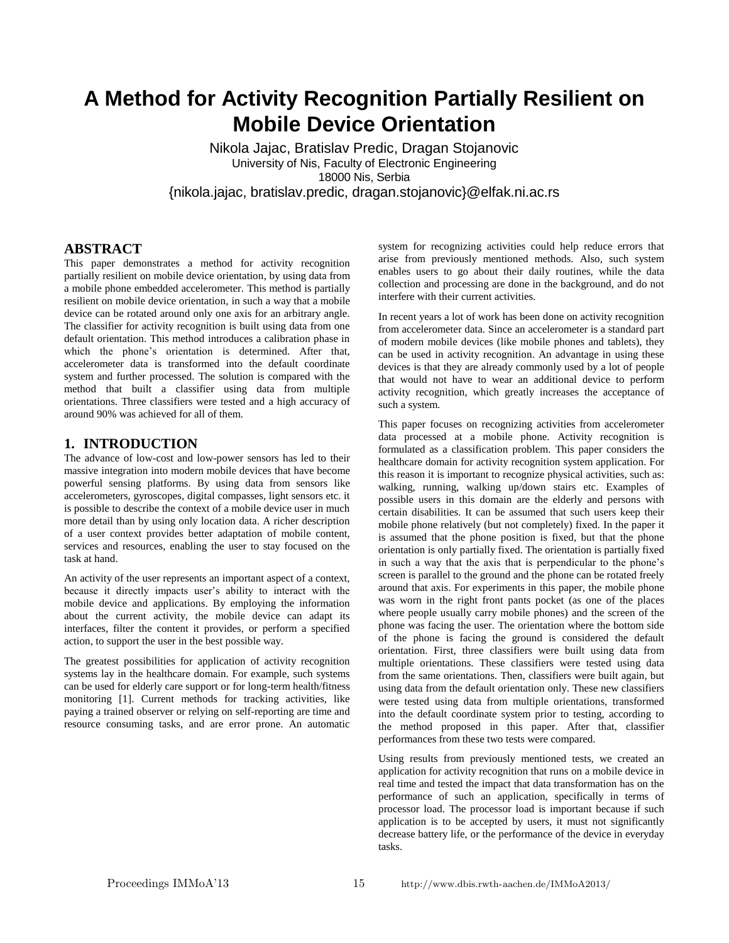# **A Method for Activity Recognition Partially Resilient on Mobile Device Orientation**

Nikola Jajac, Bratislav Predic, Dragan Stojanovic University of Nis, Faculty of Electronic Engineering 18000 Nis, Serbia {nikola.jajac, bratislav.predic, dragan.stojanovic}@elfak.ni.ac.rs

## **ABSTRACT**

This paper demonstrates a method for activity recognition partially resilient on mobile device orientation, by using data from a mobile phone embedded accelerometer. This method is partially resilient on mobile device orientation, in such a way that a mobile device can be rotated around only one axis for an arbitrary angle. The classifier for activity recognition is built using data from one default orientation. This method introduces a calibration phase in which the phone's orientation is determined. After that, accelerometer data is transformed into the default coordinate system and further processed. The solution is compared with the method that built a classifier using data from multiple orientations. Three classifiers were tested and a high accuracy of around 90% was achieved for all of them.

#### **1. INTRODUCTION**

The advance of low-cost and low-power sensors has led to their massive integration into modern mobile devices that have become powerful sensing platforms. By using data from sensors like accelerometers, gyroscopes, digital compasses, light sensors etc. it is possible to describe the context of a mobile device user in much more detail than by using only location data. A richer description of a user context provides better adaptation of mobile content, services and resources, enabling the user to stay focused on the task at hand.

An activity of the user represents an important aspect of a context, because it directly impacts user's ability to interact with the mobile device and applications. By employing the information about the current activity, the mobile device can adapt its interfaces, filter the content it provides, or perform a specified action, to support the user in the best possible way.

The greatest possibilities for application of activity recognition systems lay in the healthcare domain. For example, such systems can be used for elderly care support or for long-term health/fitness monitoring [1]. Current methods for tracking activities, like paying a trained observer or relying on self-reporting are time and resource consuming tasks, and are error prone. An automatic

system for recognizing activities could help reduce errors that arise from previously mentioned methods. Also, such system enables users to go about their daily routines, while the data collection and processing are done in the background, and do not interfere with their current activities.

In recent years a lot of work has been done on activity recognition from accelerometer data. Since an accelerometer is a standard part of modern mobile devices (like mobile phones and tablets), they can be used in activity recognition. An advantage in using these devices is that they are already commonly used by a lot of people that would not have to wear an additional device to perform activity recognition, which greatly increases the acceptance of such a system.

This paper focuses on recognizing activities from accelerometer data processed at a mobile phone. Activity recognition is formulated as a classification problem. This paper considers the healthcare domain for activity recognition system application. For this reason it is important to recognize physical activities, such as: walking, running, walking up/down stairs etc. Examples of possible users in this domain are the elderly and persons with certain disabilities. It can be assumed that such users keep their mobile phone relatively (but not completely) fixed. In the paper it is assumed that the phone position is fixed, but that the phone orientation is only partially fixed. The orientation is partially fixed in such a way that the axis that is perpendicular to the phone's screen is parallel to the ground and the phone can be rotated freely around that axis. For experiments in this paper, the mobile phone was worn in the right front pants pocket (as one of the places where people usually carry mobile phones) and the screen of the phone was facing the user. The orientation where the bottom side of the phone is facing the ground is considered the default orientation. First, three classifiers were built using data from multiple orientations. These classifiers were tested using data from the same orientations. Then, classifiers were built again, but using data from the default orientation only. These new classifiers were tested using data from multiple orientations, transformed into the default coordinate system prior to testing, according to the method proposed in this paper. After that, classifier performances from these two tests were compared.

Using results from previously mentioned tests, we created an application for activity recognition that runs on a mobile device in real time and tested the impact that data transformation has on the performance of such an application, specifically in terms of processor load. The processor load is important because if such application is to be accepted by users, it must not significantly decrease battery life, or the performance of the device in everyday tasks.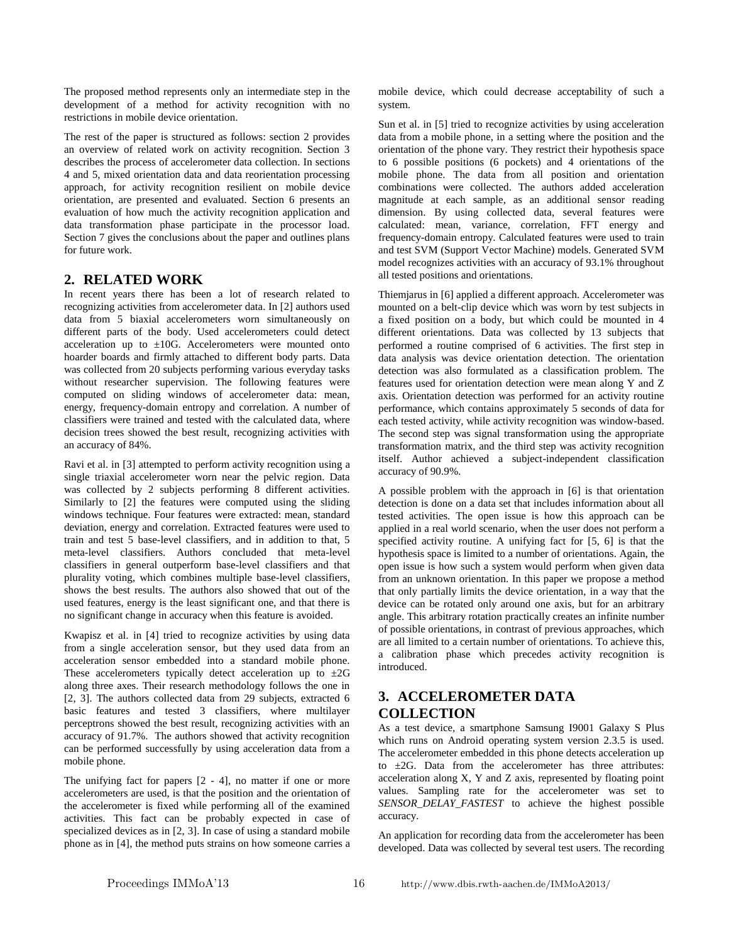The proposed method represents only an intermediate step in the development of a method for activity recognition with no restrictions in mobile device orientation.

The rest of the paper is structured as follows: section 2 provides an overview of related work on activity recognition. Section 3 describes the process of accelerometer data collection. In sections 4 and 5, mixed orientation data and data reorientation processing approach, for activity recognition resilient on mobile device orientation, are presented and evaluated. Section 6 presents an evaluation of how much the activity recognition application and data transformation phase participate in the processor load. Section 7 gives the conclusions about the paper and outlines plans for future work.

### **2. RELATED WORK**

In recent years there has been a lot of research related to recognizing activities from accelerometer data. In [2] authors used data from 5 biaxial accelerometers worn simultaneously on different parts of the body. Used accelerometers could detect acceleration up to  $\pm 10$ G. Accelerometers were mounted onto hoarder boards and firmly attached to different body parts. Data was collected from 20 subjects performing various everyday tasks without researcher supervision. The following features were computed on sliding windows of accelerometer data: mean, energy, frequency-domain entropy and correlation. A number of classifiers were trained and tested with the calculated data, where decision trees showed the best result, recognizing activities with an accuracy of 84%.

Ravi et al. in [3] attempted to perform activity recognition using a single triaxial accelerometer worn near the pelvic region. Data was collected by 2 subjects performing 8 different activities. Similarly to [2] the features were computed using the sliding windows technique. Four features were extracted: mean, standard deviation, energy and correlation. Extracted features were used to train and test 5 base-level classifiers, and in addition to that, 5 meta-level classifiers. Authors concluded that meta-level classifiers in general outperform base-level classifiers and that plurality voting, which combines multiple base-level classifiers, shows the best results. The authors also showed that out of the used features, energy is the least significant one, and that there is no significant change in accuracy when this feature is avoided.

Kwapisz et al. in [4] tried to recognize activities by using data from a single acceleration sensor, but they used data from an acceleration sensor embedded into a standard mobile phone. These accelerometers typically detect acceleration up to  $\pm 2G$ along three axes. Their research methodology follows the one in [2, 3]. The authors collected data from 29 subjects, extracted 6 basic features and tested 3 classifiers, where multilayer perceptrons showed the best result, recognizing activities with an accuracy of 91.7%. The authors showed that activity recognition can be performed successfully by using acceleration data from a mobile phone.

The unifying fact for papers  $[2 - 4]$ , no matter if one or more accelerometers are used, is that the position and the orientation of the accelerometer is fixed while performing all of the examined activities. This fact can be probably expected in case of specialized devices as in [2, 3]. In case of using a standard mobile phone as in [4], the method puts strains on how someone carries a mobile device, which could decrease acceptability of such a system.

Sun et al. in [5] tried to recognize activities by using acceleration data from a mobile phone, in a setting where the position and the orientation of the phone vary. They restrict their hypothesis space to 6 possible positions (6 pockets) and 4 orientations of the mobile phone. The data from all position and orientation combinations were collected. The authors added acceleration magnitude at each sample, as an additional sensor reading dimension. By using collected data, several features were calculated: mean, variance, correlation, FFT energy and frequency-domain entropy. Calculated features were used to train and test SVM (Support Vector Machine) models. Generated SVM model recognizes activities with an accuracy of 93.1% throughout all tested positions and orientations.

Thiemjarus in [6] applied a different approach. Accelerometer was mounted on a belt-clip device which was worn by test subjects in a fixed position on a body, but which could be mounted in 4 different orientations. Data was collected by 13 subjects that performed a routine comprised of 6 activities. The first step in data analysis was device orientation detection. The orientation detection was also formulated as a classification problem. The features used for orientation detection were mean along Y and Z axis. Orientation detection was performed for an activity routine performance, which contains approximately 5 seconds of data for each tested activity, while activity recognition was window-based. The second step was signal transformation using the appropriate transformation matrix, and the third step was activity recognition itself. Author achieved a subject-independent classification accuracy of 90.9%.

A possible problem with the approach in [6] is that orientation detection is done on a data set that includes information about all tested activities. The open issue is how this approach can be applied in a real world scenario, when the user does not perform a specified activity routine. A unifying fact for [5, 6] is that the hypothesis space is limited to a number of orientations. Again, the open issue is how such a system would perform when given data from an unknown orientation. In this paper we propose a method that only partially limits the device orientation, in a way that the device can be rotated only around one axis, but for an arbitrary angle. This arbitrary rotation practically creates an infinite number of possible orientations, in contrast of previous approaches, which are all limited to a certain number of orientations. To achieve this, a calibration phase which precedes activity recognition is introduced.

# **3. ACCELEROMETER DATA COLLECTION**

As a test device, a smartphone Samsung I9001 Galaxy S Plus which runs on Android operating system version 2.3.5 is used. The accelerometer embedded in this phone detects acceleration up to  $\pm 2G$ . Data from the accelerometer has three attributes: acceleration along X, Y and Z axis, represented by floating point values. Sampling rate for the accelerometer was set to *SENSOR\_DELAY\_FASTEST* to achieve the highest possible accuracy.

An application for recording data from the accelerometer has been developed. Data was collected by several test users. The recording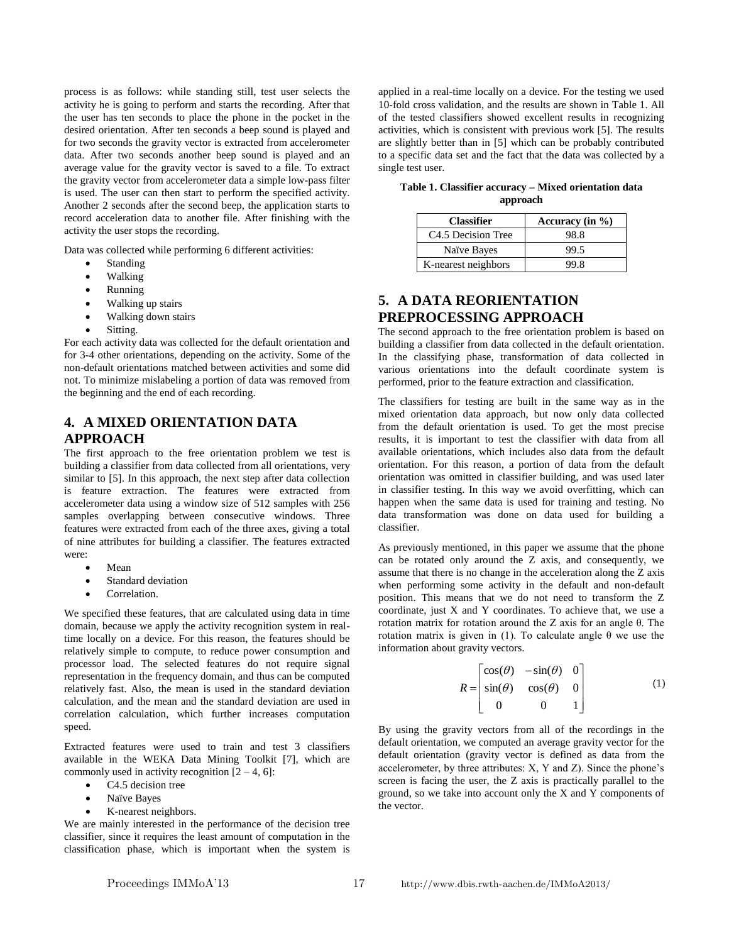process is as follows: while standing still, test user selects the activity he is going to perform and starts the recording. After that the user has ten seconds to place the phone in the pocket in the desired orientation. After ten seconds a beep sound is played and for two seconds the gravity vector is extracted from accelerometer data. After two seconds another beep sound is played and an average value for the gravity vector is saved to a file. To extract the gravity vector from accelerometer data a simple low-pass filter is used. The user can then start to perform the specified activity. Another 2 seconds after the second beep, the application starts to record acceleration data to another file. After finishing with the activity the user stops the recording.

Data was collected while performing 6 different activities:

- Standing
- Walking
- Running
- Walking up stairs
- Walking down stairs
- Sitting.

For each activity data was collected for the default orientation and for 3-4 other orientations, depending on the activity. Some of the non-default orientations matched between activities and some did not. To minimize mislabeling a portion of data was removed from the beginning and the end of each recording.

# **4. A MIXED ORIENTATION DATA APPROACH**

The first approach to the free orientation problem we test is building a classifier from data collected from all orientations, very similar to [5]. In this approach, the next step after data collection is feature extraction. The features were extracted from accelerometer data using a window size of 512 samples with 256 samples overlapping between consecutive windows. Three features were extracted from each of the three axes, giving a total of nine attributes for building a classifier. The features extracted were:

- Mean
- Standard deviation
- Correlation.

We specified these features, that are calculated using data in time domain, because we apply the activity recognition system in realtime locally on a device. For this reason, the features should be relatively simple to compute, to reduce power consumption and processor load. The selected features do not require signal representation in the frequency domain, and thus can be computed relatively fast. Also, the mean is used in the standard deviation calculation, and the mean and the standard deviation are used in correlation calculation, which further increases computation speed.

Extracted features were used to train and test 3 classifiers available in the WEKA Data Mining Toolkit [7], which are commonly used in activity recognition  $[2 - 4, 6]$ :

- C4.5 decision tree
- Naïve Bayes
- K-nearest neighbors.

We are mainly interested in the performance of the decision tree classifier, since it requires the least amount of computation in the classification phase, which is important when the system is

applied in a real-time locally on a device. For the testing we used 10-fold cross validation, and the results are shown in Table 1. All of the tested classifiers showed excellent results in recognizing activities, which is consistent with previous work [5]. The results are slightly better than in [5] which can be probably contributed to a specific data set and the fact that the data was collected by a single test user.

**Table 1. Classifier accuracy – Mixed orientation data approach**

| <b>Classifier</b>   | Accuracy (in $\%$ ) |
|---------------------|---------------------|
| C4.5 Decision Tree  | 98.8                |
| Naïve Bayes         | 99.5                |
| K-nearest neighbors | 99.8                |

# **5. A DATA REORIENTATION PREPROCESSING APPROACH**

The second approach to the free orientation problem is based on building a classifier from data collected in the default orientation. In the classifying phase, transformation of data collected in various orientations into the default coordinate system is performed, prior to the feature extraction and classification.

The classifiers for testing are built in the same way as in the mixed orientation data approach, but now only data collected from the default orientation is used. To get the most precise results, it is important to test the classifier with data from all available orientations, which includes also data from the default orientation. For this reason, a portion of data from the default orientation was omitted in classifier building, and was used later in classifier testing. In this way we avoid overfitting, which can happen when the same data is used for training and testing. No data transformation was done on data used for building a classifier.

As previously mentioned, in this paper we assume that the phone can be rotated only around the Z axis, and consequently, we assume that there is no change in the acceleration along the Z axis when performing some activity in the default and non-default position. This means that we do not need to transform the Z coordinate, just X and Y coordinates. To achieve that, we use a rotation matrix for rotation around the Z axis for an angle θ. The rotation matrix is given in (1). To calculate angle θ we use the information about gravity vectors.

$$
R = \begin{bmatrix} \cos(\theta) & -\sin(\theta) & 0 \\ \sin(\theta) & \cos(\theta) & 0 \\ 0 & 0 & 1 \end{bmatrix}
$$
 (1)

By using the gravity vectors from all of the recordings in the default orientation, we computed an average gravity vector for the default orientation (gravity vector is defined as data from the accelerometer, by three attributes: X, Y and Z). Since the phone's screen is facing the user, the Z axis is practically parallel to the ground, so we take into account only the X and Y components of the vector.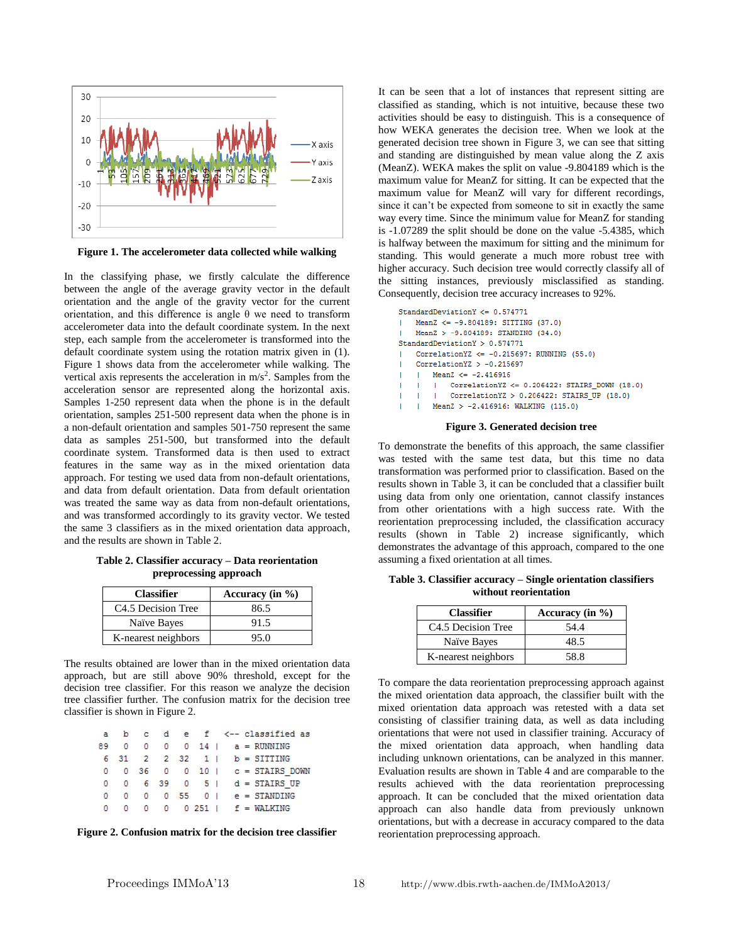

**Figure 1. The accelerometer data collected while walking**

In the classifying phase, we firstly calculate the difference between the angle of the average gravity vector in the default orientation and the angle of the gravity vector for the current orientation, and this difference is angle θ we need to transform accelerometer data into the default coordinate system. In the next step, each sample from the accelerometer is transformed into the default coordinate system using the rotation matrix given in (1). Figure 1 shows data from the accelerometer while walking. The vertical axis represents the acceleration in  $m/s<sup>2</sup>$ . Samples from the acceleration sensor are represented along the horizontal axis. Samples 1-250 represent data when the phone is in the default orientation, samples 251-500 represent data when the phone is in a non-default orientation and samples 501-750 represent the same data as samples 251-500, but transformed into the default coordinate system. Transformed data is then used to extract features in the same way as in the mixed orientation data approach. For testing we used data from non-default orientations, and data from default orientation. Data from default orientation was treated the same way as data from non-default orientations, and was transformed accordingly to its gravity vector. We tested the same 3 classifiers as in the mixed orientation data approach, and the results are shown in Table 2.

**Table 2. Classifier accuracy – Data reorientation preprocessing approach**

| <b>Classifier</b>   | Accuracy (in $\%$ ) |
|---------------------|---------------------|
| C4.5 Decision Tree  | 86.5                |
| Naïve Bayes         | 91.5                |
| K-nearest neighbors | 95.0                |

The results obtained are lower than in the mixed orientation data approach, but are still above 90% threshold, except for the decision tree classifier. For this reason we analyze the decision tree classifier further. The confusion matrix for the decision tree classifier is shown in Figure 2.

|  |  |  |  | a b c d e f <--classified as                      |
|--|--|--|--|---------------------------------------------------|
|  |  |  |  | 89 0 0 0 0 14   a = RUNNING                       |
|  |  |  |  | 6 31 2 2 32 1   b = SITTING                       |
|  |  |  |  | $0 \t 0 \t 36 \t 0 \t 0 \t 10 \t c = STAIRS DOWN$ |
|  |  |  |  | $0 \t 6 \t 39 \t 0 \t 5 \t d = STAIRS UP$         |
|  |  |  |  | 0 0 0 0 55 0   e = STANDING                       |
|  |  |  |  | 0 0 0 0 0 0 251   f = WALKING                     |

**Figure 2. Confusion matrix for the decision tree classifier**

It can be seen that a lot of instances that represent sitting are classified as standing, which is not intuitive, because these two activities should be easy to distinguish. This is a consequence of how WEKA generates the decision tree. When we look at the generated decision tree shown in Figure 3, we can see that sitting and standing are distinguished by mean value along the Z axis (MeanZ). WEKA makes the split on value -9.804189 which is the maximum value for MeanZ for sitting. It can be expected that the maximum value for MeanZ will vary for different recordings, since it can't be expected from someone to sit in exactly the same way every time. Since the minimum value for MeanZ for standing is -1.07289 the split should be done on the value -5.4385, which is halfway between the maximum for sitting and the minimum for standing. This would generate a much more robust tree with higher accuracy. Such decision tree would correctly classify all of the sitting instances, previously misclassified as standing. Consequently, decision tree accuracy increases to 92%.

```
StandardDeviationY <= 0.574771MeanZ <= -9.804189; SITTING (37.0)
   MeanZ > -9.804189: STANDING (34.0)
StandardDeviationY > 0.574771
   CorrelationYZ <= -0.215697: RUNNING (55.0)
    Correlation YZ > -0.215697MeanZ \le -2.416916Correlation YZ <= 0.206422: STAIRS DOWN (18.0)
        \mathbf{I}Correlation YZ > 0.206422: STAIRS UP (18.0)
        MeanZ > -2.416916: WALKING (115.0)
```
#### **Figure 3. Generated decision tree**

To demonstrate the benefits of this approach, the same classifier was tested with the same test data, but this time no data transformation was performed prior to classification. Based on the results shown in Table 3, it can be concluded that a classifier built using data from only one orientation, cannot classify instances from other orientations with a high success rate. With the reorientation preprocessing included, the classification accuracy results (shown in Table 2) increase significantly, which demonstrates the advantage of this approach, compared to the one assuming a fixed orientation at all times.

**without reorientation Classifier Accuracy (in %)**

**Table 3. Classifier accuracy – Single orientation classifiers** 

| <b>Classifier</b>              | Accuracy (in $\%$ ) |
|--------------------------------|---------------------|
| C <sub>4.5</sub> Decision Tree | 54.4                |
| Naïve Bayes                    | 48.5                |
| K-nearest neighbors            | 58.8                |

To compare the data reorientation preprocessing approach against the mixed orientation data approach, the classifier built with the mixed orientation data approach was retested with a data set consisting of classifier training data, as well as data including orientations that were not used in classifier training. Accuracy of the mixed orientation data approach, when handling data including unknown orientations, can be analyzed in this manner. Evaluation results are shown in Table 4 and are comparable to the results achieved with the data reorientation preprocessing approach. It can be concluded that the mixed orientation data approach can also handle data from previously unknown orientations, but with a decrease in accuracy compared to the data reorientation preprocessing approach.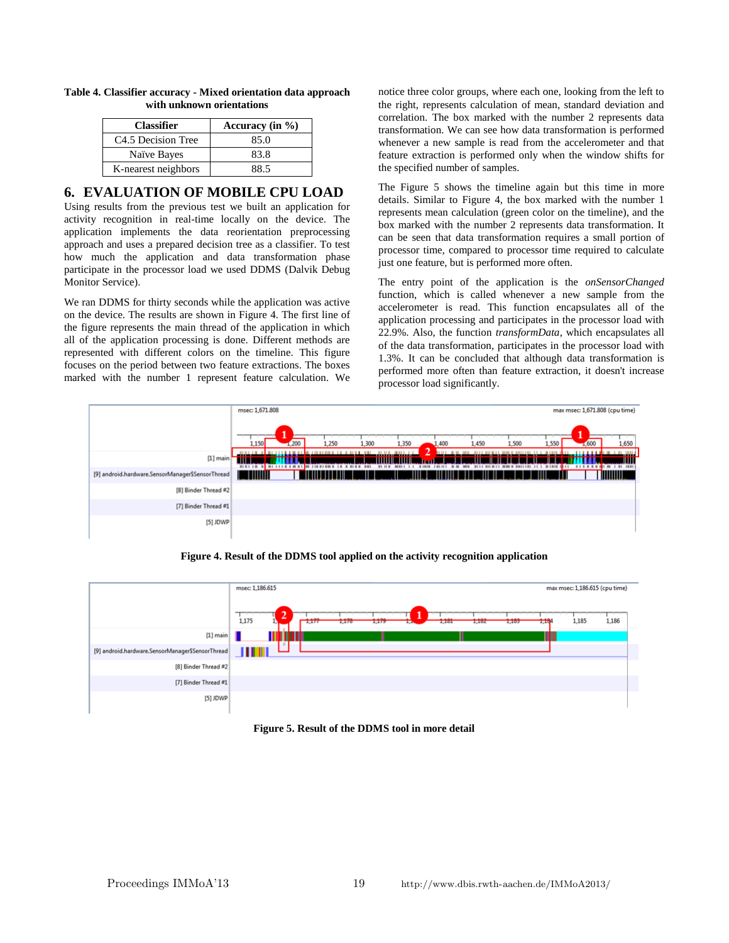| <b>Classifier</b>              | Accuracy (in $\%$ ) |
|--------------------------------|---------------------|
| C <sub>4.5</sub> Decision Tree | 85.0                |
| Naïve Bayes                    | 83.8                |
| K-nearest neighbors            | 88.5                |

#### **Table 4. Classifier accuracy - Mixed orientation data approach with unknown orientations**

## **6. EVALUATION OF MOBILE CPU LOAD**

Using results from the previous test we built an application for activity recognition in real-time locally on the device. The application implements the data reorientation preprocessing approach and uses a prepared decision tree as a classifier. To test how much the application and data transformation phase participate in the processor load we used DDMS (Dalvik Debug Monitor Service).

We ran DDMS for thirty seconds while the application was active on the device. The results are shown in Figure 4. The first line of the figure represents the main thread of the application in which all of the application processing is done. Different methods are represented with different colors on the timeline. This figure focuses on the period between two feature extractions. The boxes marked with the number 1 represent feature calculation. We

notice three color groups, where each one, looking from the left to the right, represents calculation of mean, standard deviation and correlation. The box marked with the number 2 represents data transformation. We can see how data transformation is performed whenever a new sample is read from the accelerometer and that feature extraction is performed only when the window shifts for the specified number of samples.

The Figure 5 shows the timeline again but this time in more details. Similar to Figure 4, the box marked with the number 1 represents mean calculation (green color on the timeline), and the box marked with the number 2 represents data transformation. It can be seen that data transformation requires a small portion of processor time, compared to processor time required to calculate just one feature, but is performed more often.

The entry point of the application is the *onSensorChanged* function, which is called whenever a new sample from the accelerometer is read. This function encapsulates all of the application processing and participates in the processor load with 22.9%. Also, the function *transformData*, which encapsulates all of the data transformation, participates in the processor load with 1.3%. It can be concluded that although data transformation is performed more often than feature extraction, it doesn't increase processor load significantly.



**Figure 4. Result of the DDMS tool applied on the activity recognition application**

|                                                  | msec: 1,186.615<br>max msec: 1,186.615 (cpu time)                                                                             |
|--------------------------------------------------|-------------------------------------------------------------------------------------------------------------------------------|
|                                                  | $\cdots$<br>--<br>۰<br>لمعتب<br>1,175<br>1,178<br>1,182<br>1,183<br>1,177<br>1,184<br>1,185<br>1,186<br>1,179<br>1,101<br>1,4 |
| $[1]$ main                                       |                                                                                                                               |
| [9] android.hardware.SensorManager\$SensorThread | <b>THERE</b>                                                                                                                  |
| [8] Binder Thread #2                             |                                                                                                                               |
| [7] Binder Thread #1                             |                                                                                                                               |
| [5] JDWP                                         |                                                                                                                               |

**Figure 5. Result of the DDMS tool in more detail**